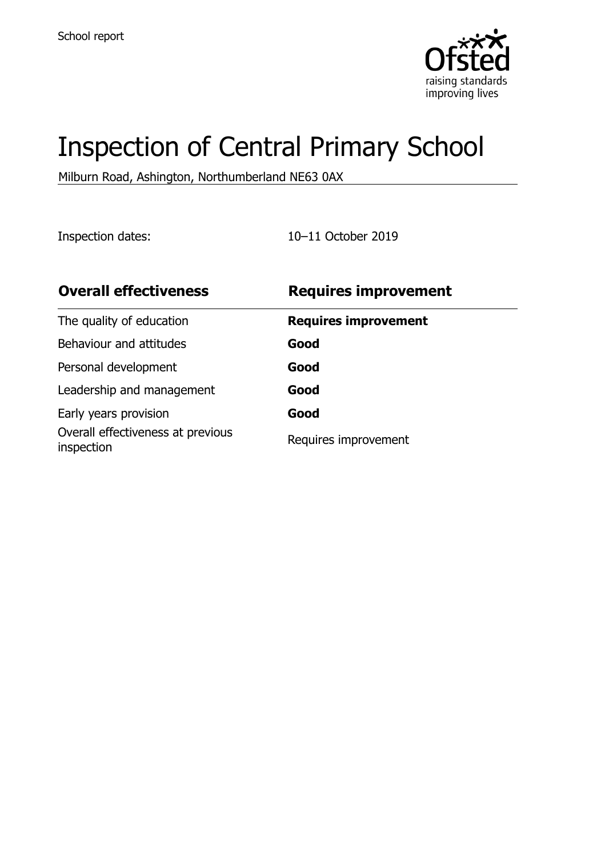

# Inspection of Central Primary School

Milburn Road, Ashington, Northumberland NE63 0AX

Inspection dates: 10–11 October 2019

| <b>Overall effectiveness</b>                    | <b>Requires improvement</b> |
|-------------------------------------------------|-----------------------------|
| The quality of education                        | <b>Requires improvement</b> |
| Behaviour and attitudes                         | Good                        |
| Personal development                            | Good                        |
| Leadership and management                       | Good                        |
| Early years provision                           | Good                        |
| Overall effectiveness at previous<br>inspection | Requires improvement        |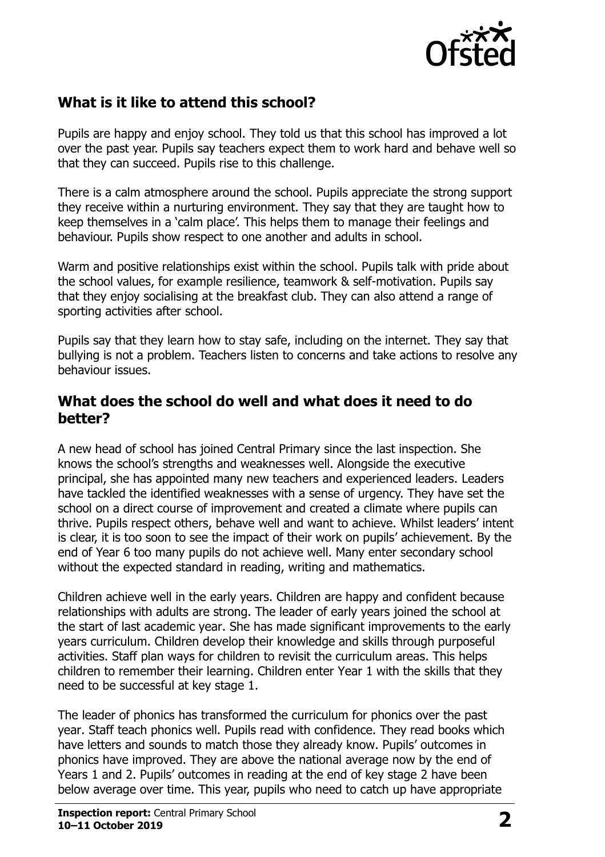

# **What is it like to attend this school?**

Pupils are happy and enjoy school. They told us that this school has improved a lot over the past year. Pupils say teachers expect them to work hard and behave well so that they can succeed. Pupils rise to this challenge.

There is a calm atmosphere around the school. Pupils appreciate the strong support they receive within a nurturing environment. They say that they are taught how to keep themselves in a 'calm place'. This helps them to manage their feelings and behaviour. Pupils show respect to one another and adults in school.

Warm and positive relationships exist within the school. Pupils talk with pride about the school values, for example resilience, teamwork & self-motivation. Pupils say that they enjoy socialising at the breakfast club. They can also attend a range of sporting activities after school.

Pupils say that they learn how to stay safe, including on the internet. They say that bullying is not a problem. Teachers listen to concerns and take actions to resolve any behaviour issues.

#### **What does the school do well and what does it need to do better?**

A new head of school has joined Central Primary since the last inspection. She knows the school's strengths and weaknesses well. Alongside the executive principal, she has appointed many new teachers and experienced leaders. Leaders have tackled the identified weaknesses with a sense of urgency. They have set the school on a direct course of improvement and created a climate where pupils can thrive. Pupils respect others, behave well and want to achieve. Whilst leaders' intent is clear, it is too soon to see the impact of their work on pupils' achievement. By the end of Year 6 too many pupils do not achieve well. Many enter secondary school without the expected standard in reading, writing and mathematics.

Children achieve well in the early years. Children are happy and confident because relationships with adults are strong. The leader of early years joined the school at the start of last academic year. She has made significant improvements to the early years curriculum. Children develop their knowledge and skills through purposeful activities. Staff plan ways for children to revisit the curriculum areas. This helps children to remember their learning. Children enter Year 1 with the skills that they need to be successful at key stage 1.

The leader of phonics has transformed the curriculum for phonics over the past year. Staff teach phonics well. Pupils read with confidence. They read books which have letters and sounds to match those they already know. Pupils' outcomes in phonics have improved. They are above the national average now by the end of Years 1 and 2. Pupils' outcomes in reading at the end of key stage 2 have been below average over time. This year, pupils who need to catch up have appropriate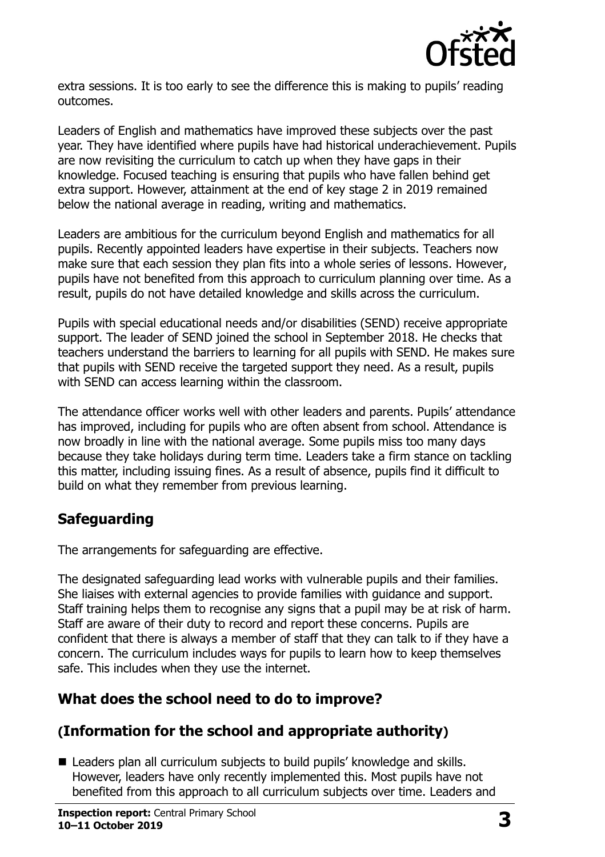

extra sessions. It is too early to see the difference this is making to pupils' reading outcomes.

Leaders of English and mathematics have improved these subjects over the past year. They have identified where pupils have had historical underachievement. Pupils are now revisiting the curriculum to catch up when they have gaps in their knowledge. Focused teaching is ensuring that pupils who have fallen behind get extra support. However, attainment at the end of key stage 2 in 2019 remained below the national average in reading, writing and mathematics.

Leaders are ambitious for the curriculum beyond English and mathematics for all pupils. Recently appointed leaders have expertise in their subjects. Teachers now make sure that each session they plan fits into a whole series of lessons. However, pupils have not benefited from this approach to curriculum planning over time. As a result, pupils do not have detailed knowledge and skills across the curriculum.

Pupils with special educational needs and/or disabilities (SEND) receive appropriate support. The leader of SEND joined the school in September 2018. He checks that teachers understand the barriers to learning for all pupils with SEND. He makes sure that pupils with SEND receive the targeted support they need. As a result, pupils with SEND can access learning within the classroom.

The attendance officer works well with other leaders and parents. Pupils' attendance has improved, including for pupils who are often absent from school. Attendance is now broadly in line with the national average. Some pupils miss too many days because they take holidays during term time. Leaders take a firm stance on tackling this matter, including issuing fines. As a result of absence, pupils find it difficult to build on what they remember from previous learning.

# **Safeguarding**

The arrangements for safeguarding are effective.

The designated safeguarding lead works with vulnerable pupils and their families. She liaises with external agencies to provide families with guidance and support. Staff training helps them to recognise any signs that a pupil may be at risk of harm. Staff are aware of their duty to record and report these concerns. Pupils are confident that there is always a member of staff that they can talk to if they have a concern. The curriculum includes ways for pupils to learn how to keep themselves safe. This includes when they use the internet.

# **What does the school need to do to improve?**

# **(Information for the school and appropriate authority)**

■ Leaders plan all curriculum subjects to build pupils' knowledge and skills. However, leaders have only recently implemented this. Most pupils have not benefited from this approach to all curriculum subjects over time. Leaders and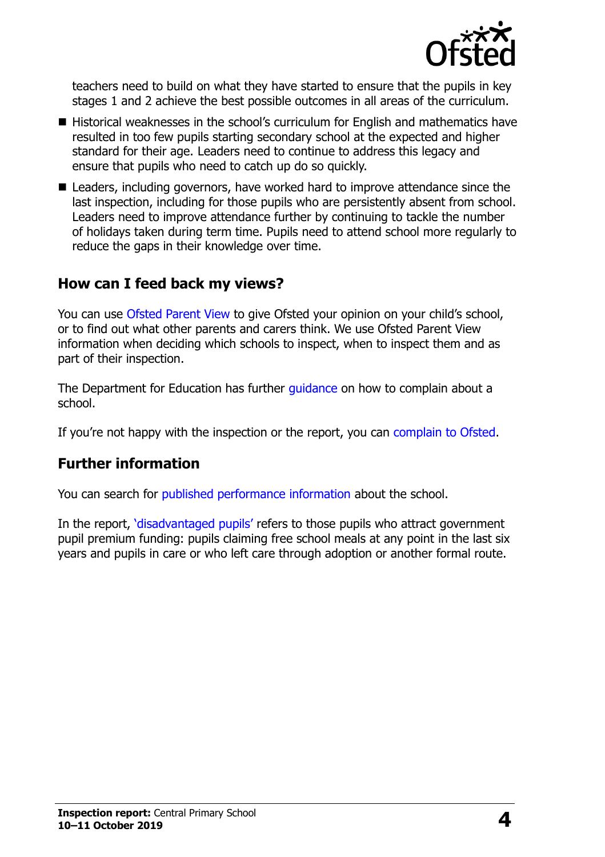

teachers need to build on what they have started to ensure that the pupils in key stages 1 and 2 achieve the best possible outcomes in all areas of the curriculum.

- Historical weaknesses in the school's curriculum for English and mathematics have resulted in too few pupils starting secondary school at the expected and higher standard for their age. Leaders need to continue to address this legacy and ensure that pupils who need to catch up do so quickly.
- Leaders, including governors, have worked hard to improve attendance since the last inspection, including for those pupils who are persistently absent from school. Leaders need to improve attendance further by continuing to tackle the number of holidays taken during term time. Pupils need to attend school more regularly to reduce the gaps in their knowledge over time.

### **How can I feed back my views?**

You can use [Ofsted Parent View](http://parentview.ofsted.gov.uk/) to give Ofsted your opinion on your child's school, or to find out what other parents and carers think. We use Ofsted Parent View information when deciding which schools to inspect, when to inspect them and as part of their inspection.

The Department for Education has further quidance on how to complain about a school.

If you're not happy with the inspection or the report, you can [complain to Ofsted.](http://www.gov.uk/complain-ofsted-report)

#### **Further information**

You can search for [published performance information](http://www.compare-school-performance.service.gov.uk/) about the school.

In the report, '[disadvantaged pupils](http://www.gov.uk/guidance/pupil-premium-information-for-schools-and-alternative-provision-settings)' refers to those pupils who attract government pupil premium funding: pupils claiming free school meals at any point in the last six years and pupils in care or who left care through adoption or another formal route.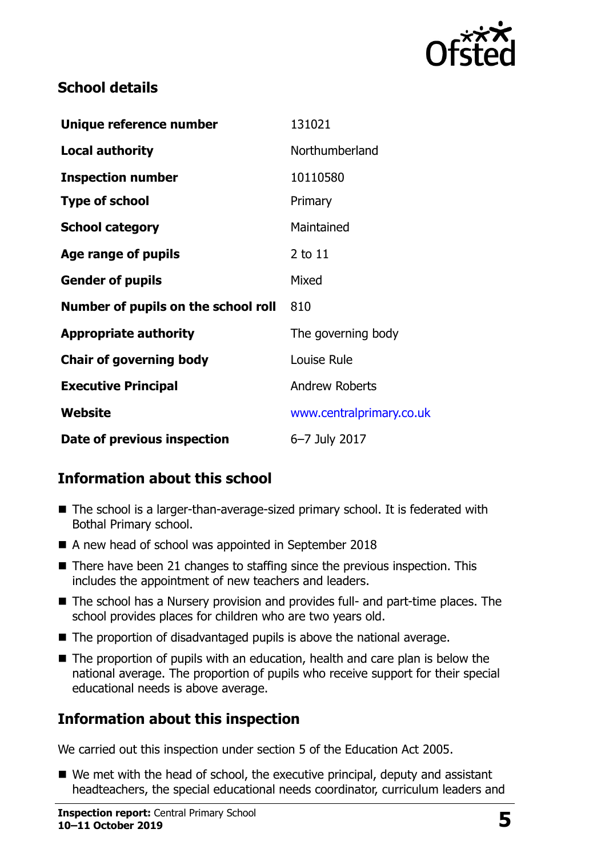

# **School details**

| Unique reference number             | 131021                   |
|-------------------------------------|--------------------------|
| <b>Local authority</b>              | Northumberland           |
| <b>Inspection number</b>            | 10110580                 |
| <b>Type of school</b>               | Primary                  |
| <b>School category</b>              | Maintained               |
| Age range of pupils                 | $2$ to $11$              |
| <b>Gender of pupils</b>             | Mixed                    |
| Number of pupils on the school roll | 810                      |
| <b>Appropriate authority</b>        | The governing body       |
| <b>Chair of governing body</b>      | Louise Rule              |
| <b>Executive Principal</b>          | <b>Andrew Roberts</b>    |
| Website                             | www.centralprimary.co.uk |
| Date of previous inspection         | 6-7 July 2017            |

# **Information about this school**

- The school is a larger-than-average-sized primary school. It is federated with Bothal Primary school.
- A new head of school was appointed in September 2018
- $\blacksquare$  There have been 21 changes to staffing since the previous inspection. This includes the appointment of new teachers and leaders.
- The school has a Nursery provision and provides full- and part-time places. The school provides places for children who are two years old.
- The proportion of disadvantaged pupils is above the national average.
- The proportion of pupils with an education, health and care plan is below the national average. The proportion of pupils who receive support for their special educational needs is above average.

# **Information about this inspection**

We carried out this inspection under section 5 of the Education Act 2005.

■ We met with the head of school, the executive principal, deputy and assistant headteachers, the special educational needs coordinator, curriculum leaders and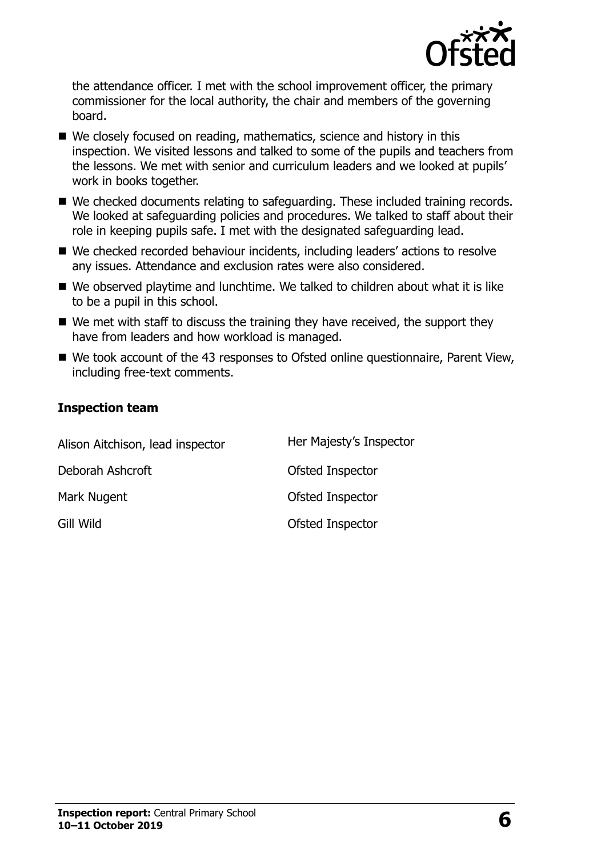

the attendance officer. I met with the school improvement officer, the primary commissioner for the local authority, the chair and members of the governing board.

- We closely focused on reading, mathematics, science and history in this inspection. We visited lessons and talked to some of the pupils and teachers from the lessons. We met with senior and curriculum leaders and we looked at pupils' work in books together.
- We checked documents relating to safeguarding. These included training records. We looked at safeguarding policies and procedures. We talked to staff about their role in keeping pupils safe. I met with the designated safeguarding lead.
- We checked recorded behaviour incidents, including leaders' actions to resolve any issues. Attendance and exclusion rates were also considered.
- We observed playtime and lunchtime. We talked to children about what it is like to be a pupil in this school.
- $\blacksquare$  We met with staff to discuss the training they have received, the support they have from leaders and how workload is managed.
- We took account of the 43 responses to Ofsted online questionnaire, Parent View, including free-text comments.

#### **Inspection team**

| Alison Aitchison, lead inspector | Her Majesty's Inspector |
|----------------------------------|-------------------------|
| Deborah Ashcroft                 | Ofsted Inspector        |
| Mark Nugent                      | Ofsted Inspector        |
| Gill Wild                        | Ofsted Inspector        |